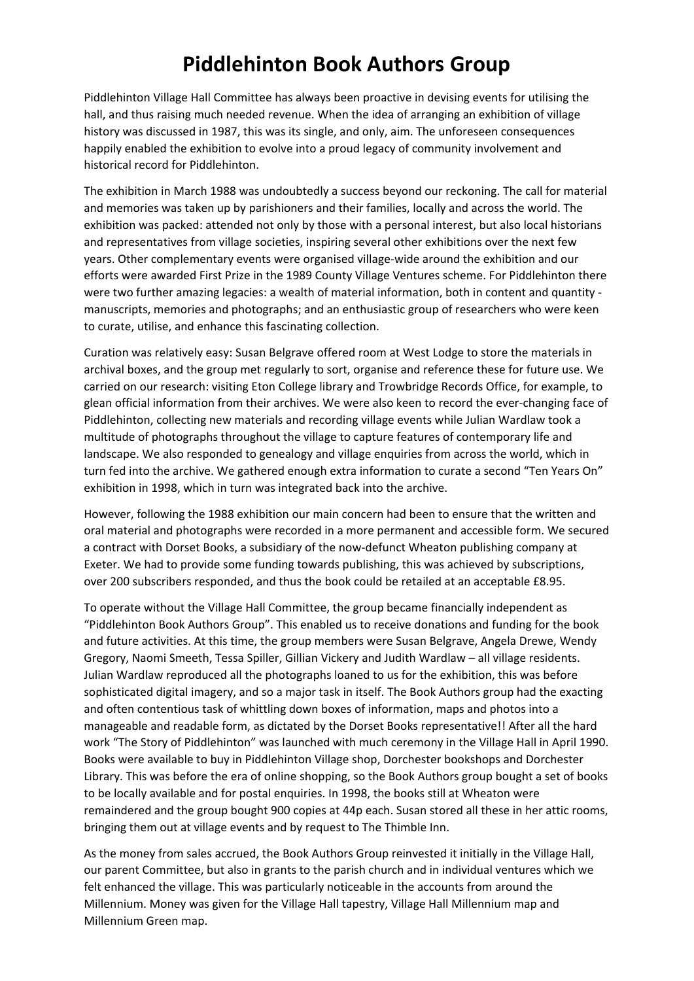## **Piddlehinton Book Authors Group**

Piddlehinton Village Hall Committee has always been proactive in devising events for utilising the hall, and thus raising much needed revenue. When the idea of arranging an exhibition of village history was discussed in 1987, this was its single, and only, aim. The unforeseen consequences happily enabled the exhibition to evolve into a proud legacy of community involvement and historical record for Piddlehinton.

The exhibition in March 1988 was undoubtedly a success beyond our reckoning. The call for material and memories was taken up by parishioners and their families, locally and across the world. The exhibition was packed: attended not only by those with a personal interest, but also local historians and representatives from village societies, inspiring several other exhibitions over the next few years. Other complementary events were organised village‐wide around the exhibition and our efforts were awarded First Prize in the 1989 County Village Ventures scheme. For Piddlehinton there were two further amazing legacies: a wealth of material information, both in content and quantity manuscripts, memories and photographs; and an enthusiastic group of researchers who were keen to curate, utilise, and enhance this fascinating collection.

Curation was relatively easy: Susan Belgrave offered room at West Lodge to store the materials in archival boxes, and the group met regularly to sort, organise and reference these for future use. We carried on our research: visiting Eton College library and Trowbridge Records Office, for example, to glean official information from their archives. We were also keen to record the ever-changing face of Piddlehinton, collecting new materials and recording village events while Julian Wardlaw took a multitude of photographs throughout the village to capture features of contemporary life and landscape. We also responded to genealogy and village enquiries from across the world, which in turn fed into the archive. We gathered enough extra information to curate a second "Ten Years On" exhibition in 1998, which in turn was integrated back into the archive.

However, following the 1988 exhibition our main concern had been to ensure that the written and oral material and photographs were recorded in a more permanent and accessible form. We secured a contract with Dorset Books, a subsidiary of the now‐defunct Wheaton publishing company at Exeter. We had to provide some funding towards publishing, this was achieved by subscriptions, over 200 subscribers responded, and thus the book could be retailed at an acceptable £8.95.

To operate without the Village Hall Committee, the group became financially independent as "Piddlehinton Book Authors Group". This enabled us to receive donations and funding for the book and future activities. At this time, the group members were Susan Belgrave, Angela Drewe, Wendy Gregory, Naomi Smeeth, Tessa Spiller, Gillian Vickery and Judith Wardlaw – all village residents. Julian Wardlaw reproduced all the photographs loaned to us for the exhibition, this was before sophisticated digital imagery, and so a major task in itself. The Book Authors group had the exacting and often contentious task of whittling down boxes of information, maps and photos into a manageable and readable form, as dictated by the Dorset Books representative!! After all the hard work "The Story of Piddlehinton" was launched with much ceremony in the Village Hall in April 1990. Books were available to buy in Piddlehinton Village shop, Dorchester bookshops and Dorchester Library. This was before the era of online shopping, so the Book Authors group bought a set of books to be locally available and for postal enquiries. In 1998, the books still at Wheaton were remaindered and the group bought 900 copies at 44p each. Susan stored all these in her attic rooms, bringing them out at village events and by request to The Thimble Inn.

As the money from sales accrued, the Book Authors Group reinvested it initially in the Village Hall, our parent Committee, but also in grants to the parish church and in individual ventures which we felt enhanced the village. This was particularly noticeable in the accounts from around the Millennium. Money was given for the Village Hall tapestry, Village Hall Millennium map and Millennium Green map.